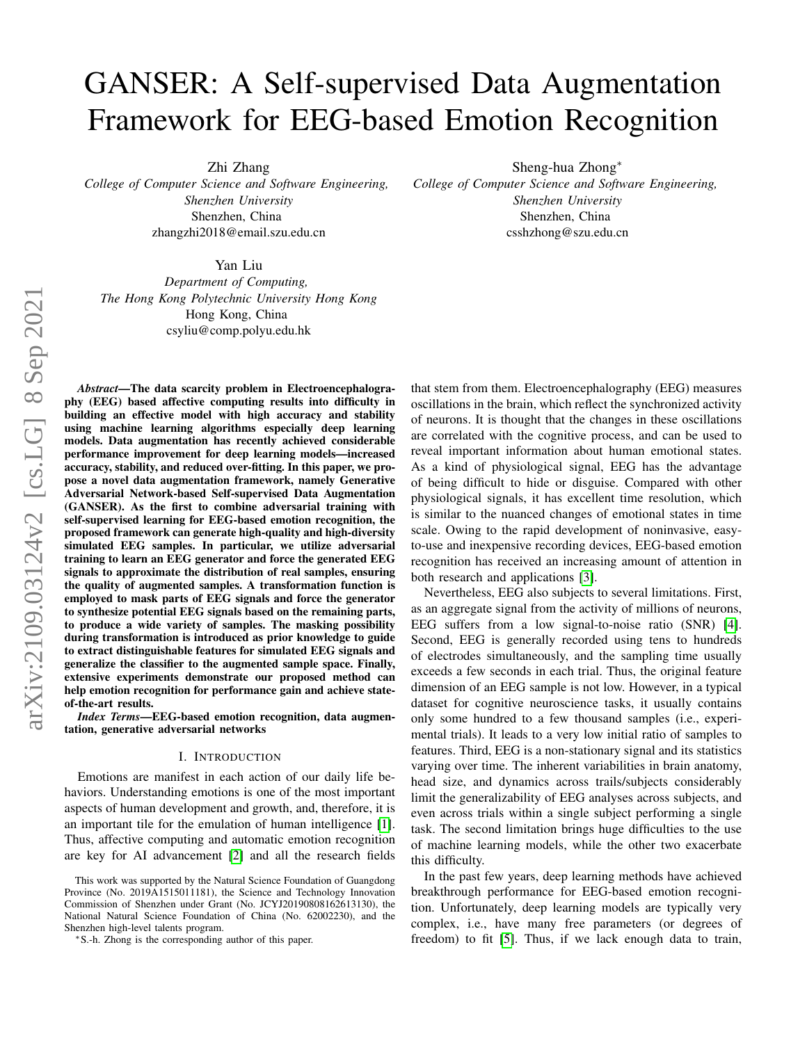# GANSER: A Self-supervised Data Augmentation Framework for EEG-based Emotion Recognition

Zhi Zhang

*College of Computer Science and Software Engineering, Shenzhen University* Shenzhen, China zhangzhi2018@email.szu.edu.cn

Sheng-hua Zhong<sup>∗</sup> *College of Computer Science and Software Engineering, Shenzhen University* Shenzhen, China csshzhong@szu.edu.cn

Yan Liu

*Department of Computing, The Hong Kong Polytechnic University Hong Kong* Hong Kong, China csyliu@comp.polyu.edu.hk

*Abstract*—The data scarcity problem in Electroencephalography (EEG) based affective computing results into difficulty in building an effective model with high accuracy and stability using machine learning algorithms especially deep learning models. Data augmentation has recently achieved considerable performance improvement for deep learning models—increased accuracy, stability, and reduced over-fitting. In this paper, we propose a novel data augmentation framework, namely Generative Adversarial Network-based Self-supervised Data Augmentation (GANSER). As the first to combine adversarial training with self-supervised learning for EEG-based emotion recognition, the proposed framework can generate high-quality and high-diversity simulated EEG samples. In particular, we utilize adversarial training to learn an EEG generator and force the generated EEG signals to approximate the distribution of real samples, ensuring the quality of augmented samples. A transformation function is employed to mask parts of EEG signals and force the generator to synthesize potential EEG signals based on the remaining parts, to produce a wide variety of samples. The masking possibility during transformation is introduced as prior knowledge to guide to extract distinguishable features for simulated EEG signals and generalize the classifier to the augmented sample space. Finally, extensive experiments demonstrate our proposed method can help emotion recognition for performance gain and achieve stateof-the-art results.

*Index Terms*—EEG-based emotion recognition, data augmentation, generative adversarial networks

#### I. INTRODUCTION

Emotions are manifest in each action of our daily life behaviors. Understanding emotions is one of the most important aspects of human development and growth, and, therefore, it is an important tile for the emulation of human intelligence [\[1\]](#page-11-0). Thus, affective computing and automatic emotion recognition are key for AI advancement [\[2\]](#page-11-1) and all the research fields

<sup>∗</sup>S.-h. Zhong is the corresponding author of this paper.

that stem from them. Electroencephalography (EEG) measures oscillations in the brain, which reflect the synchronized activity of neurons. It is thought that the changes in these oscillations are correlated with the cognitive process, and can be used to reveal important information about human emotional states. As a kind of physiological signal, EEG has the advantage of being difficult to hide or disguise. Compared with other physiological signals, it has excellent time resolution, which is similar to the nuanced changes of emotional states in time scale. Owing to the rapid development of noninvasive, easyto-use and inexpensive recording devices, EEG-based emotion recognition has received an increasing amount of attention in both research and applications [\[3\]](#page-11-2).

Nevertheless, EEG also subjects to several limitations. First, as an aggregate signal from the activity of millions of neurons, EEG suffers from a low signal-to-noise ratio (SNR) [\[4\]](#page-11-3). Second, EEG is generally recorded using tens to hundreds of electrodes simultaneously, and the sampling time usually exceeds a few seconds in each trial. Thus, the original feature dimension of an EEG sample is not low. However, in a typical dataset for cognitive neuroscience tasks, it usually contains only some hundred to a few thousand samples (i.e., experimental trials). It leads to a very low initial ratio of samples to features. Third, EEG is a non-stationary signal and its statistics varying over time. The inherent variabilities in brain anatomy, head size, and dynamics across trails/subjects considerably limit the generalizability of EEG analyses across subjects, and even across trials within a single subject performing a single task. The second limitation brings huge difficulties to the use of machine learning models, while the other two exacerbate this difficulty.

In the past few years, deep learning methods have achieved breakthrough performance for EEG-based emotion recognition. Unfortunately, deep learning models are typically very complex, i.e., have many free parameters (or degrees of freedom) to fit [\[5\]](#page-11-4). Thus, if we lack enough data to train,

This work was supported by the Natural Science Foundation of Guangdong Province (No. 2019A1515011181), the Science and Technology Innovation Commission of Shenzhen under Grant (No. JCYJ20190808162613130), the National Natural Science Foundation of China (No. 62002230), and the Shenzhen high-level talents program.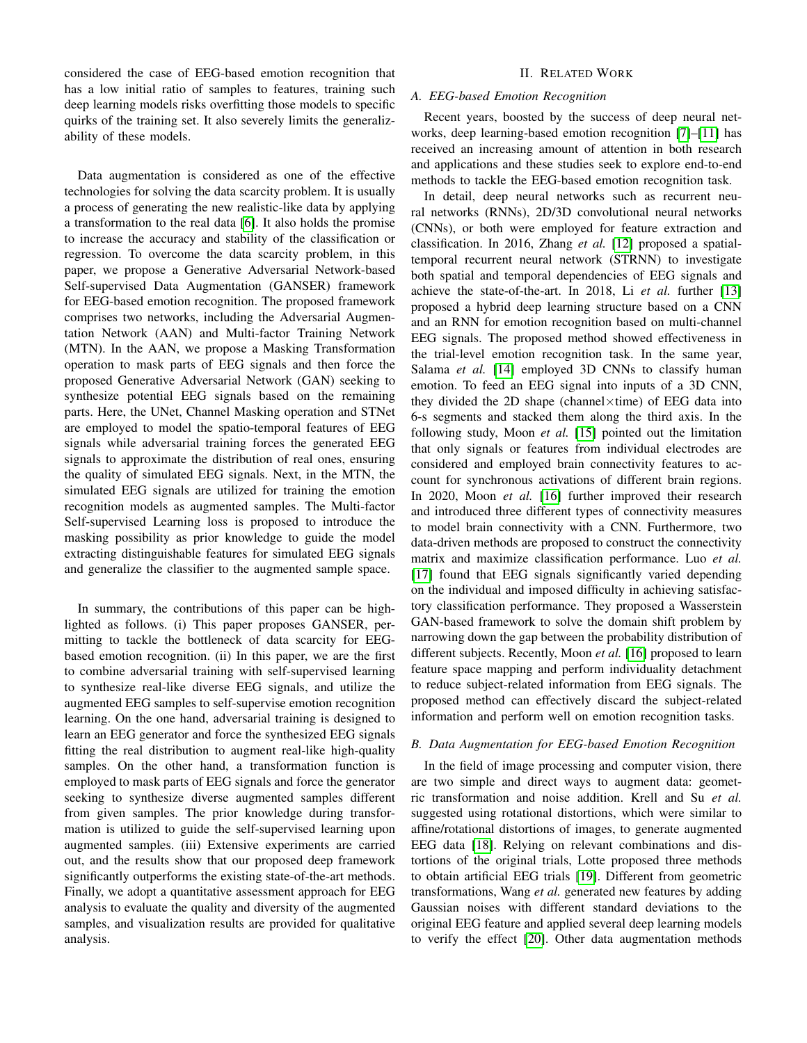considered the case of EEG-based emotion recognition that has a low initial ratio of samples to features, training such deep learning models risks overfitting those models to specific quirks of the training set. It also severely limits the generalizability of these models.

Data augmentation is considered as one of the effective technologies for solving the data scarcity problem. It is usually a process of generating the new realistic-like data by applying a transformation to the real data [\[6\]](#page-11-5). It also holds the promise to increase the accuracy and stability of the classification or regression. To overcome the data scarcity problem, in this paper, we propose a Generative Adversarial Network-based Self-supervised Data Augmentation (GANSER) framework for EEG-based emotion recognition. The proposed framework comprises two networks, including the Adversarial Augmentation Network (AAN) and Multi-factor Training Network (MTN). In the AAN, we propose a Masking Transformation operation to mask parts of EEG signals and then force the proposed Generative Adversarial Network (GAN) seeking to synthesize potential EEG signals based on the remaining parts. Here, the UNet, Channel Masking operation and STNet are employed to model the spatio-temporal features of EEG signals while adversarial training forces the generated EEG signals to approximate the distribution of real ones, ensuring the quality of simulated EEG signals. Next, in the MTN, the simulated EEG signals are utilized for training the emotion recognition models as augmented samples. The Multi-factor Self-supervised Learning loss is proposed to introduce the masking possibility as prior knowledge to guide the model extracting distinguishable features for simulated EEG signals and generalize the classifier to the augmented sample space.

In summary, the contributions of this paper can be highlighted as follows. (i) This paper proposes GANSER, permitting to tackle the bottleneck of data scarcity for EEGbased emotion recognition. (ii) In this paper, we are the first to combine adversarial training with self-supervised learning to synthesize real-like diverse EEG signals, and utilize the augmented EEG samples to self-supervise emotion recognition learning. On the one hand, adversarial training is designed to learn an EEG generator and force the synthesized EEG signals fitting the real distribution to augment real-like high-quality samples. On the other hand, a transformation function is employed to mask parts of EEG signals and force the generator seeking to synthesize diverse augmented samples different from given samples. The prior knowledge during transformation is utilized to guide the self-supervised learning upon augmented samples. (iii) Extensive experiments are carried out, and the results show that our proposed deep framework significantly outperforms the existing state-of-the-art methods. Finally, we adopt a quantitative assessment approach for EEG analysis to evaluate the quality and diversity of the augmented samples, and visualization results are provided for qualitative analysis.

# II. RELATED WORK

# *A. EEG-based Emotion Recognition*

Recent years, boosted by the success of deep neural networks, deep learning-based emotion recognition [\[7\]](#page-11-6)–[\[11\]](#page-11-7) has received an increasing amount of attention in both research and applications and these studies seek to explore end-to-end methods to tackle the EEG-based emotion recognition task.

In detail, deep neural networks such as recurrent neural networks (RNNs), 2D/3D convolutional neural networks (CNNs), or both were employed for feature extraction and classification. In 2016, Zhang *et al.* [\[12\]](#page-11-8) proposed a spatialtemporal recurrent neural network (STRNN) to investigate both spatial and temporal dependencies of EEG signals and achieve the state-of-the-art. In 2018, Li *et al.* further [\[13\]](#page-12-0) proposed a hybrid deep learning structure based on a CNN and an RNN for emotion recognition based on multi-channel EEG signals. The proposed method showed effectiveness in the trial-level emotion recognition task. In the same year, Salama *et al.* [\[14\]](#page-12-1) employed 3D CNNs to classify human emotion. To feed an EEG signal into inputs of a 3D CNN, they divided the 2D shape (channel $\times$ time) of EEG data into 6-s segments and stacked them along the third axis. In the following study, Moon *et al.* [\[15\]](#page-12-2) pointed out the limitation that only signals or features from individual electrodes are considered and employed brain connectivity features to account for synchronous activations of different brain regions. In 2020, Moon *et al.* [\[16\]](#page-12-3) further improved their research and introduced three different types of connectivity measures to model brain connectivity with a CNN. Furthermore, two data-driven methods are proposed to construct the connectivity matrix and maximize classification performance. Luo *et al.* [\[17\]](#page-12-4) found that EEG signals significantly varied depending on the individual and imposed difficulty in achieving satisfactory classification performance. They proposed a Wasserstein GAN-based framework to solve the domain shift problem by narrowing down the gap between the probability distribution of different subjects. Recently, Moon *et al.* [\[16\]](#page-12-3) proposed to learn feature space mapping and perform individuality detachment to reduce subject-related information from EEG signals. The proposed method can effectively discard the subject-related information and perform well on emotion recognition tasks.

# *B. Data Augmentation for EEG-based Emotion Recognition*

In the field of image processing and computer vision, there are two simple and direct ways to augment data: geometric transformation and noise addition. Krell and Su *et al.* suggested using rotational distortions, which were similar to affine/rotational distortions of images, to generate augmented EEG data [\[18\]](#page-12-5). Relying on relevant combinations and distortions of the original trials, Lotte proposed three methods to obtain artificial EEG trials [\[19\]](#page-12-6). Different from geometric transformations, Wang *et al.* generated new features by adding Gaussian noises with different standard deviations to the original EEG feature and applied several deep learning models to verify the effect [\[20\]](#page-12-7). Other data augmentation methods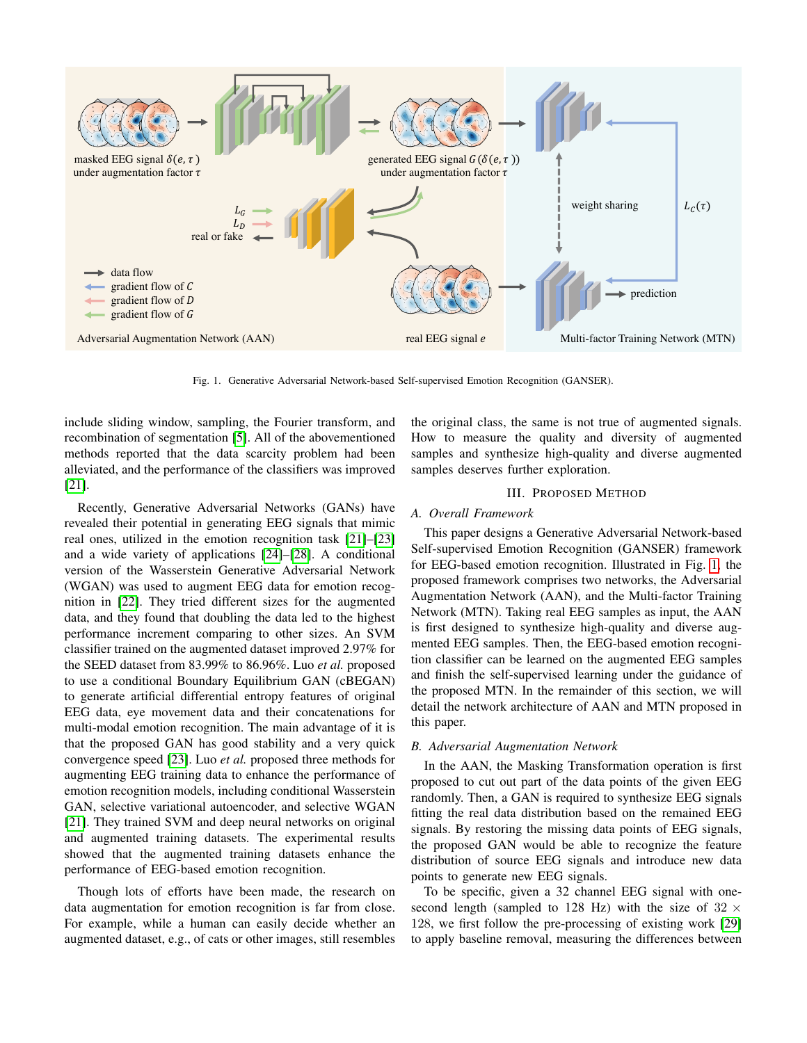

<span id="page-2-0"></span>Fig. 1. Generative Adversarial Network-based Self-supervised Emotion Recognition (GANSER).

include sliding window, sampling, the Fourier transform, and recombination of segmentation [\[5\]](#page-11-4). All of the abovementioned methods reported that the data scarcity problem had been alleviated, and the performance of the classifiers was improved [\[21\]](#page-12-8).

Recently, Generative Adversarial Networks (GANs) have revealed their potential in generating EEG signals that mimic real ones, utilized in the emotion recognition task [\[21\]](#page-12-8)–[\[23\]](#page-12-9) and a wide variety of applications [\[24\]](#page-12-10)–[\[28\]](#page-12-11). A conditional version of the Wasserstein Generative Adversarial Network (WGAN) was used to augment EEG data for emotion recognition in [\[22\]](#page-12-12). They tried different sizes for the augmented data, and they found that doubling the data led to the highest performance increment comparing to other sizes. An SVM classifier trained on the augmented dataset improved 2.97% for the SEED dataset from 83.99% to 86.96%. Luo *et al.* proposed to use a conditional Boundary Equilibrium GAN (cBEGAN) to generate artificial differential entropy features of original EEG data, eye movement data and their concatenations for multi-modal emotion recognition. The main advantage of it is that the proposed GAN has good stability and a very quick convergence speed [\[23\]](#page-12-9). Luo *et al.* proposed three methods for augmenting EEG training data to enhance the performance of emotion recognition models, including conditional Wasserstein GAN, selective variational autoencoder, and selective WGAN [\[21\]](#page-12-8). They trained SVM and deep neural networks on original and augmented training datasets. The experimental results showed that the augmented training datasets enhance the performance of EEG-based emotion recognition.

Though lots of efforts have been made, the research on data augmentation for emotion recognition is far from close. For example, while a human can easily decide whether an augmented dataset, e.g., of cats or other images, still resembles the original class, the same is not true of augmented signals. How to measure the quality and diversity of augmented samples and synthesize high-quality and diverse augmented samples deserves further exploration.

#### III. PROPOSED METHOD

#### *A. Overall Framework*

This paper designs a Generative Adversarial Network-based Self-supervised Emotion Recognition (GANSER) framework for EEG-based emotion recognition. Illustrated in Fig. [1,](#page-2-0) the proposed framework comprises two networks, the Adversarial Augmentation Network (AAN), and the Multi-factor Training Network (MTN). Taking real EEG samples as input, the AAN is first designed to synthesize high-quality and diverse augmented EEG samples. Then, the EEG-based emotion recognition classifier can be learned on the augmented EEG samples and finish the self-supervised learning under the guidance of the proposed MTN. In the remainder of this section, we will detail the network architecture of AAN and MTN proposed in this paper.

#### *B. Adversarial Augmentation Network*

In the AAN, the Masking Transformation operation is first proposed to cut out part of the data points of the given EEG randomly. Then, a GAN is required to synthesize EEG signals fitting the real data distribution based on the remained EEG signals. By restoring the missing data points of EEG signals, the proposed GAN would be able to recognize the feature distribution of source EEG signals and introduce new data points to generate new EEG signals.

To be specific, given a 32 channel EEG signal with onesecond length (sampled to 128 Hz) with the size of  $32 \times$ 128, we first follow the pre-processing of existing work [\[29\]](#page-12-13) to apply baseline removal, measuring the differences between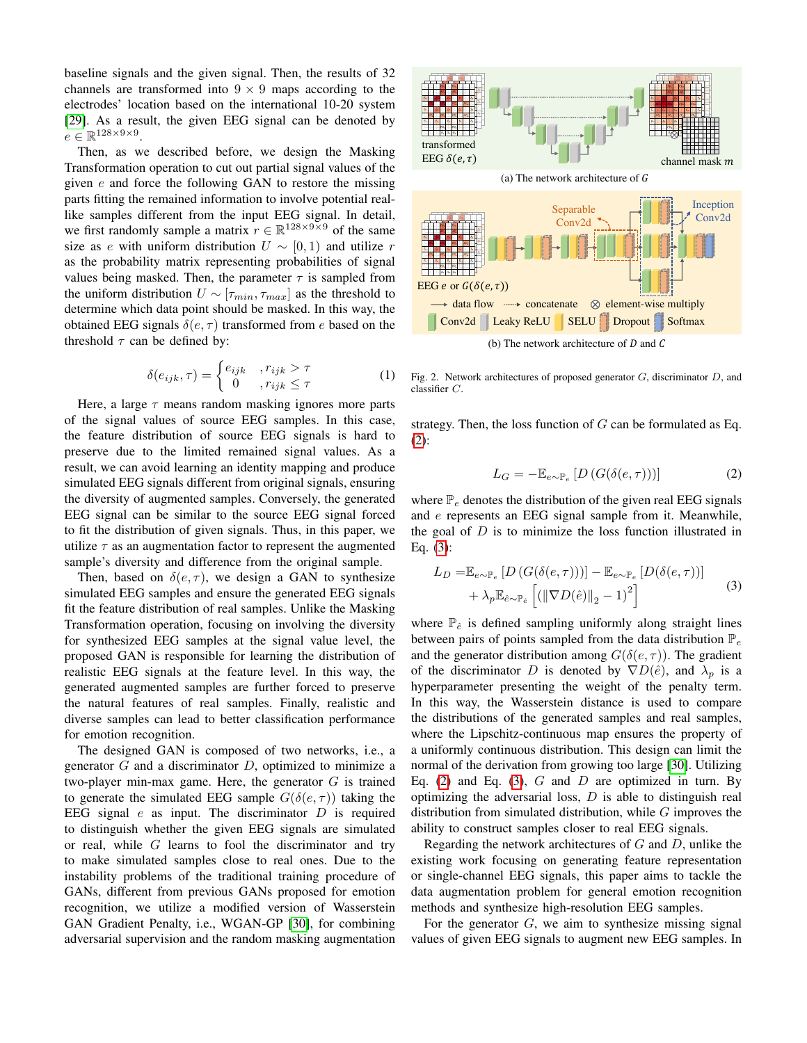baseline signals and the given signal. Then, the results of 32 channels are transformed into  $9 \times 9$  maps according to the electrodes' location based on the international 10-20 system [\[29\]](#page-12-13). As a result, the given EEG signal can be denoted by  $e \in \mathbb{R}^{128 \times 9 \times 9}$ .

Then, as we described before, we design the Masking Transformation operation to cut out partial signal values of the given  $e$  and force the following GAN to restore the missing parts fitting the remained information to involve potential reallike samples different from the input EEG signal. In detail, we first randomly sample a matrix  $r \in \mathbb{R}^{128 \times 9 \times 9}$  of the same size as e with uniform distribution  $U \sim [0, 1)$  and utilize r as the probability matrix representing probabilities of signal values being masked. Then, the parameter  $\tau$  is sampled from the uniform distribution  $U \sim [\tau_{min}, \tau_{max}]$  as the threshold to determine which data point should be masked. In this way, the obtained EEG signals  $\delta(e, \tau)$  transformed from e based on the threshold  $\tau$  can be defined by:

$$
\delta(e_{ijk}, \tau) = \begin{cases} e_{ijk} & , r_{ijk} > \tau \\ 0 & , r_{ijk} \le \tau \end{cases}
$$
 (1)

Here, a large  $\tau$  means random masking ignores more parts of the signal values of source EEG samples. In this case, the feature distribution of source EEG signals is hard to preserve due to the limited remained signal values. As a result, we can avoid learning an identity mapping and produce simulated EEG signals different from original signals, ensuring the diversity of augmented samples. Conversely, the generated EEG signal can be similar to the source EEG signal forced to fit the distribution of given signals. Thus, in this paper, we utilize  $\tau$  as an augmentation factor to represent the augmented sample's diversity and difference from the original sample.

Then, based on  $\delta(e, \tau)$ , we design a GAN to synthesize simulated EEG samples and ensure the generated EEG signals fit the feature distribution of real samples. Unlike the Masking Transformation operation, focusing on involving the diversity for synthesized EEG samples at the signal value level, the proposed GAN is responsible for learning the distribution of realistic EEG signals at the feature level. In this way, the generated augmented samples are further forced to preserve the natural features of real samples. Finally, realistic and diverse samples can lead to better classification performance for emotion recognition.

The designed GAN is composed of two networks, i.e., a generator  $G$  and a discriminator  $D$ , optimized to minimize a two-player min-max game. Here, the generator  $G$  is trained to generate the simulated EEG sample  $G(\delta(e, \tau))$  taking the EEG signal  $e$  as input. The discriminator  $D$  is required to distinguish whether the given EEG signals are simulated or real, while  $G$  learns to fool the discriminator and try to make simulated samples close to real ones. Due to the instability problems of the traditional training procedure of GANs, different from previous GANs proposed for emotion recognition, we utilize a modified version of Wasserstein GAN Gradient Penalty, i.e., WGAN-GP [\[30\]](#page-12-14), for combining adversarial supervision and the random masking augmentation



<span id="page-3-2"></span>Fig. 2. Network architectures of proposed generator  $G$ , discriminator  $D$ , and classifier C.

strategy. Then, the loss function of  $G$  can be formulated as Eq. [\(2\)](#page-3-0):

<span id="page-3-0"></span>
$$
L_G = -\mathbb{E}_{e \sim \mathbb{P}_e} \left[ D \left( G(\delta(e, \tau)) \right) \right] \tag{2}
$$

where  $\mathbb{P}_e$  denotes the distribution of the given real EEG signals and e represents an EEG signal sample from it. Meanwhile, the goal of  $D$  is to minimize the loss function illustrated in Eq. [\(3\)](#page-3-1):

<span id="page-3-1"></span>
$$
L_D = \mathbb{E}_{e \sim \mathbb{P}_e} \left[ D \left( G(\delta(e, \tau)) \right) \right] - \mathbb{E}_{e \sim \mathbb{P}_e} \left[ D(\delta(e, \tau)) \right] + \lambda_p \mathbb{E}_{\hat{e} \sim \mathbb{P}_{\hat{e}}} \left[ \left( \|\nabla D(\hat{e})\|_2 - 1 \right)^2 \right]
$$
 (3)

where  $\mathbb{P}_{\hat{e}}$  is defined sampling uniformly along straight lines between pairs of points sampled from the data distribution  $\mathbb{P}_e$ and the generator distribution among  $G(\delta(e, \tau))$ . The gradient of the discriminator D is denoted by  $\nabla D(\hat{e})$ , and  $\lambda_p$  is a hyperparameter presenting the weight of the penalty term. In this way, the Wasserstein distance is used to compare the distributions of the generated samples and real samples, where the Lipschitz-continuous map ensures the property of a uniformly continuous distribution. This design can limit the normal of the derivation from growing too large [\[30\]](#page-12-14). Utilizing Eq. [\(2\)](#page-3-0) and Eq. [\(3\)](#page-3-1),  $G$  and  $D$  are optimized in turn. By optimizing the adversarial loss,  $D$  is able to distinguish real distribution from simulated distribution, while  $G$  improves the ability to construct samples closer to real EEG signals.

Regarding the network architectures of G and D, unlike the existing work focusing on generating feature representation or single-channel EEG signals, this paper aims to tackle the data augmentation problem for general emotion recognition methods and synthesize high-resolution EEG samples.

For the generator  $G$ , we aim to synthesize missing signal values of given EEG signals to augment new EEG samples. In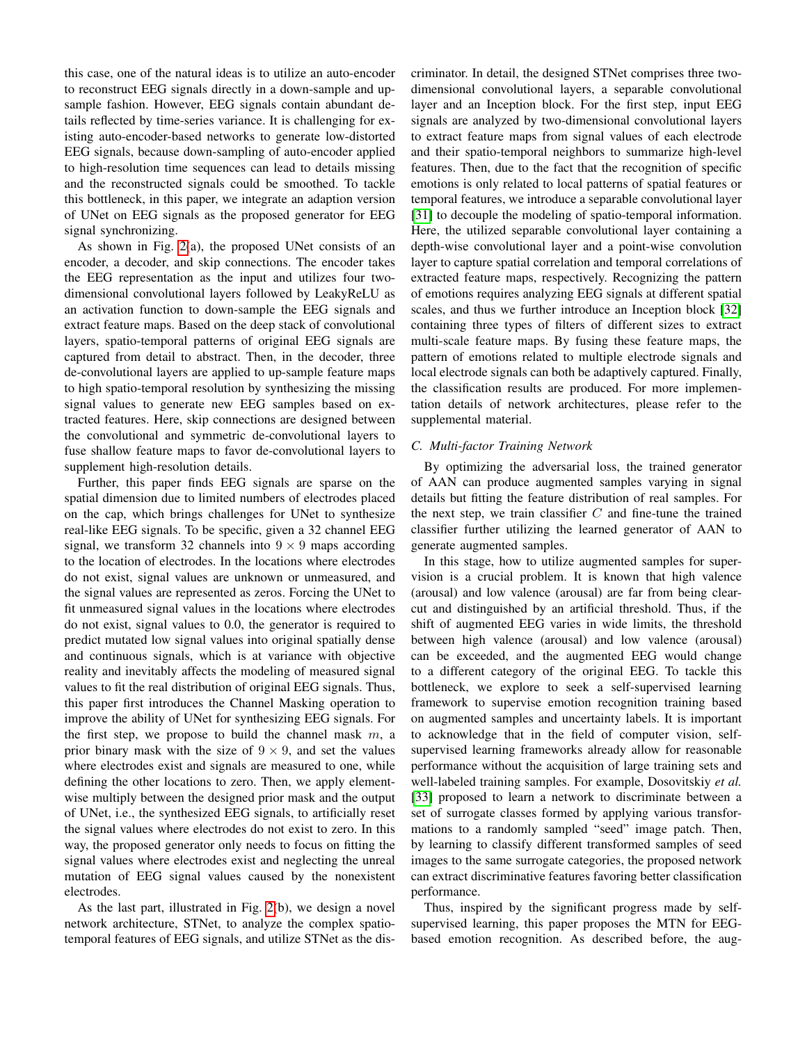this case, one of the natural ideas is to utilize an auto-encoder to reconstruct EEG signals directly in a down-sample and upsample fashion. However, EEG signals contain abundant details reflected by time-series variance. It is challenging for existing auto-encoder-based networks to generate low-distorted EEG signals, because down-sampling of auto-encoder applied to high-resolution time sequences can lead to details missing and the reconstructed signals could be smoothed. To tackle this bottleneck, in this paper, we integrate an adaption version of UNet on EEG signals as the proposed generator for EEG signal synchronizing.

As shown in Fig. [2\(](#page-3-2)a), the proposed UNet consists of an encoder, a decoder, and skip connections. The encoder takes the EEG representation as the input and utilizes four twodimensional convolutional layers followed by LeakyReLU as an activation function to down-sample the EEG signals and extract feature maps. Based on the deep stack of convolutional layers, spatio-temporal patterns of original EEG signals are captured from detail to abstract. Then, in the decoder, three de-convolutional layers are applied to up-sample feature maps to high spatio-temporal resolution by synthesizing the missing signal values to generate new EEG samples based on extracted features. Here, skip connections are designed between the convolutional and symmetric de-convolutional layers to fuse shallow feature maps to favor de-convolutional layers to supplement high-resolution details.

Further, this paper finds EEG signals are sparse on the spatial dimension due to limited numbers of electrodes placed on the cap, which brings challenges for UNet to synthesize real-like EEG signals. To be specific, given a 32 channel EEG signal, we transform 32 channels into  $9 \times 9$  maps according to the location of electrodes. In the locations where electrodes do not exist, signal values are unknown or unmeasured, and the signal values are represented as zeros. Forcing the UNet to fit unmeasured signal values in the locations where electrodes do not exist, signal values to 0.0, the generator is required to predict mutated low signal values into original spatially dense and continuous signals, which is at variance with objective reality and inevitably affects the modeling of measured signal values to fit the real distribution of original EEG signals. Thus, this paper first introduces the Channel Masking operation to improve the ability of UNet for synthesizing EEG signals. For the first step, we propose to build the channel mask  $m$ , a prior binary mask with the size of  $9 \times 9$ , and set the values where electrodes exist and signals are measured to one, while defining the other locations to zero. Then, we apply elementwise multiply between the designed prior mask and the output of UNet, i.e., the synthesized EEG signals, to artificially reset the signal values where electrodes do not exist to zero. In this way, the proposed generator only needs to focus on fitting the signal values where electrodes exist and neglecting the unreal mutation of EEG signal values caused by the nonexistent electrodes.

As the last part, illustrated in Fig. [2\(](#page-3-2)b), we design a novel network architecture, STNet, to analyze the complex spatiotemporal features of EEG signals, and utilize STNet as the discriminator. In detail, the designed STNet comprises three twodimensional convolutional layers, a separable convolutional layer and an Inception block. For the first step, input EEG signals are analyzed by two-dimensional convolutional layers to extract feature maps from signal values of each electrode and their spatio-temporal neighbors to summarize high-level features. Then, due to the fact that the recognition of specific emotions is only related to local patterns of spatial features or temporal features, we introduce a separable convolutional layer [\[31\]](#page-12-15) to decouple the modeling of spatio-temporal information. Here, the utilized separable convolutional layer containing a depth-wise convolutional layer and a point-wise convolution layer to capture spatial correlation and temporal correlations of extracted feature maps, respectively. Recognizing the pattern of emotions requires analyzing EEG signals at different spatial scales, and thus we further introduce an Inception block [\[32\]](#page-12-16) containing three types of filters of different sizes to extract multi-scale feature maps. By fusing these feature maps, the pattern of emotions related to multiple electrode signals and local electrode signals can both be adaptively captured. Finally, the classification results are produced. For more implementation details of network architectures, please refer to the supplemental material.

# *C. Multi-factor Training Network*

By optimizing the adversarial loss, the trained generator of AAN can produce augmented samples varying in signal details but fitting the feature distribution of real samples. For the next step, we train classifier  $C$  and fine-tune the trained classifier further utilizing the learned generator of AAN to generate augmented samples.

In this stage, how to utilize augmented samples for supervision is a crucial problem. It is known that high valence (arousal) and low valence (arousal) are far from being clearcut and distinguished by an artificial threshold. Thus, if the shift of augmented EEG varies in wide limits, the threshold between high valence (arousal) and low valence (arousal) can be exceeded, and the augmented EEG would change to a different category of the original EEG. To tackle this bottleneck, we explore to seek a self-supervised learning framework to supervise emotion recognition training based on augmented samples and uncertainty labels. It is important to acknowledge that in the field of computer vision, selfsupervised learning frameworks already allow for reasonable performance without the acquisition of large training sets and well-labeled training samples. For example, Dosovitskiy *et al.* [\[33\]](#page-12-17) proposed to learn a network to discriminate between a set of surrogate classes formed by applying various transformations to a randomly sampled "seed" image patch. Then, by learning to classify different transformed samples of seed images to the same surrogate categories, the proposed network can extract discriminative features favoring better classification performance.

Thus, inspired by the significant progress made by selfsupervised learning, this paper proposes the MTN for EEGbased emotion recognition. As described before, the aug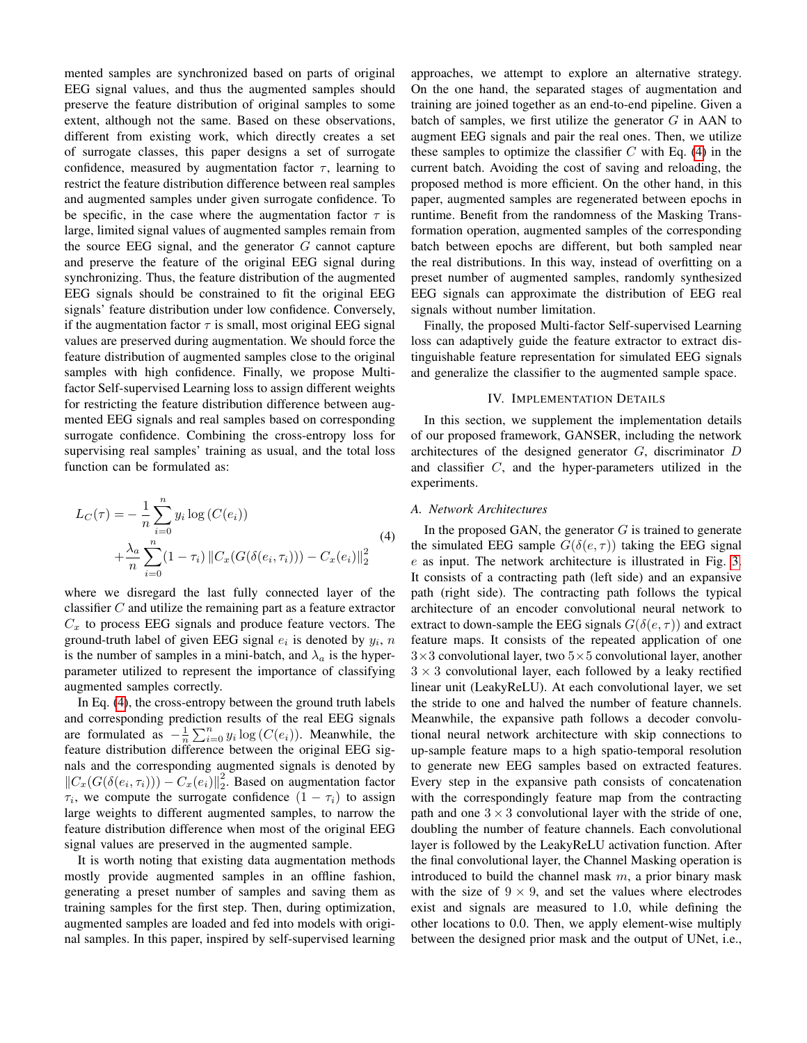mented samples are synchronized based on parts of original EEG signal values, and thus the augmented samples should preserve the feature distribution of original samples to some extent, although not the same. Based on these observations, different from existing work, which directly creates a set of surrogate classes, this paper designs a set of surrogate confidence, measured by augmentation factor  $\tau$ , learning to restrict the feature distribution difference between real samples and augmented samples under given surrogate confidence. To be specific, in the case where the augmentation factor  $\tau$  is large, limited signal values of augmented samples remain from the source EEG signal, and the generator  $G$  cannot capture and preserve the feature of the original EEG signal during synchronizing. Thus, the feature distribution of the augmented EEG signals should be constrained to fit the original EEG signals' feature distribution under low confidence. Conversely, if the augmentation factor  $\tau$  is small, most original EEG signal values are preserved during augmentation. We should force the feature distribution of augmented samples close to the original samples with high confidence. Finally, we propose Multifactor Self-supervised Learning loss to assign different weights for restricting the feature distribution difference between augmented EEG signals and real samples based on corresponding surrogate confidence. Combining the cross-entropy loss for supervising real samples' training as usual, and the total loss function can be formulated as:

<span id="page-5-0"></span>
$$
L_C(\tau) = -\frac{1}{n} \sum_{i=0}^n y_i \log(C(e_i)) + \frac{\lambda_a}{n} \sum_{i=0}^n (1 - \tau_i) ||C_x(G(\delta(e_i, \tau_i))) - C_x(e_i)||_2^2
$$
\n(4)

where we disregard the last fully connected layer of the classifier  $C$  and utilize the remaining part as a feature extractor  $C_x$  to process EEG signals and produce feature vectors. The ground-truth label of given EEG signal  $e_i$  is denoted by  $y_i$ , n is the number of samples in a mini-batch, and  $\lambda_a$  is the hyperparameter utilized to represent the importance of classifying augmented samples correctly.

In Eq. [\(4\)](#page-5-0), the cross-entropy between the ground truth labels and corresponding prediction results of the real EEG signals are formulated as  $-\frac{1}{n}\sum_{i=0}^{n} y_i \log(C(e_i))$ . Meanwhile, the feature distribution difference between the original EEG signals and the corresponding augmented signals is denoted by  $||C_x(G(\delta(e_i, \tau_i))) - C_x(e_i)||_2^2$ . Based on augmentation factor  $\tau_i$ , we compute the surrogate confidence  $(1 - \tau_i)$  to assign large weights to different augmented samples, to narrow the feature distribution difference when most of the original EEG signal values are preserved in the augmented sample.

It is worth noting that existing data augmentation methods mostly provide augmented samples in an offline fashion, generating a preset number of samples and saving them as training samples for the first step. Then, during optimization, augmented samples are loaded and fed into models with original samples. In this paper, inspired by self-supervised learning approaches, we attempt to explore an alternative strategy. On the one hand, the separated stages of augmentation and training are joined together as an end-to-end pipeline. Given a batch of samples, we first utilize the generator  $G$  in AAN to augment EEG signals and pair the real ones. Then, we utilize these samples to optimize the classifier  $C$  with Eq. [\(4\)](#page-5-0) in the current batch. Avoiding the cost of saving and reloading, the proposed method is more efficient. On the other hand, in this paper, augmented samples are regenerated between epochs in runtime. Benefit from the randomness of the Masking Transformation operation, augmented samples of the corresponding batch between epochs are different, but both sampled near the real distributions. In this way, instead of overfitting on a preset number of augmented samples, randomly synthesized EEG signals can approximate the distribution of EEG real signals without number limitation.

Finally, the proposed Multi-factor Self-supervised Learning loss can adaptively guide the feature extractor to extract distinguishable feature representation for simulated EEG signals and generalize the classifier to the augmented sample space.

# IV. IMPLEMENTATION DETAILS

In this section, we supplement the implementation details of our proposed framework, GANSER, including the network architectures of the designed generator G, discriminator D and classifier C, and the hyper-parameters utilized in the experiments.

#### *A. Network Architectures*

In the proposed GAN, the generator  $G$  is trained to generate the simulated EEG sample  $G(\delta(e, \tau))$  taking the EEG signal e as input. The network architecture is illustrated in Fig. [3.](#page-6-0) It consists of a contracting path (left side) and an expansive path (right side). The contracting path follows the typical architecture of an encoder convolutional neural network to extract to down-sample the EEG signals  $G(\delta(e, \tau))$  and extract feature maps. It consists of the repeated application of one  $3\times3$  convolutional layer, two  $5\times5$  convolutional layer, another  $3 \times 3$  convolutional layer, each followed by a leaky rectified linear unit (LeakyReLU). At each convolutional layer, we set the stride to one and halved the number of feature channels. Meanwhile, the expansive path follows a decoder convolutional neural network architecture with skip connections to up-sample feature maps to a high spatio-temporal resolution to generate new EEG samples based on extracted features. Every step in the expansive path consists of concatenation with the correspondingly feature map from the contracting path and one  $3 \times 3$  convolutional layer with the stride of one, doubling the number of feature channels. Each convolutional layer is followed by the LeakyReLU activation function. After the final convolutional layer, the Channel Masking operation is introduced to build the channel mask  $m$ , a prior binary mask with the size of  $9 \times 9$ , and set the values where electrodes exist and signals are measured to 1.0, while defining the other locations to 0.0. Then, we apply element-wise multiply between the designed prior mask and the output of UNet, i.e.,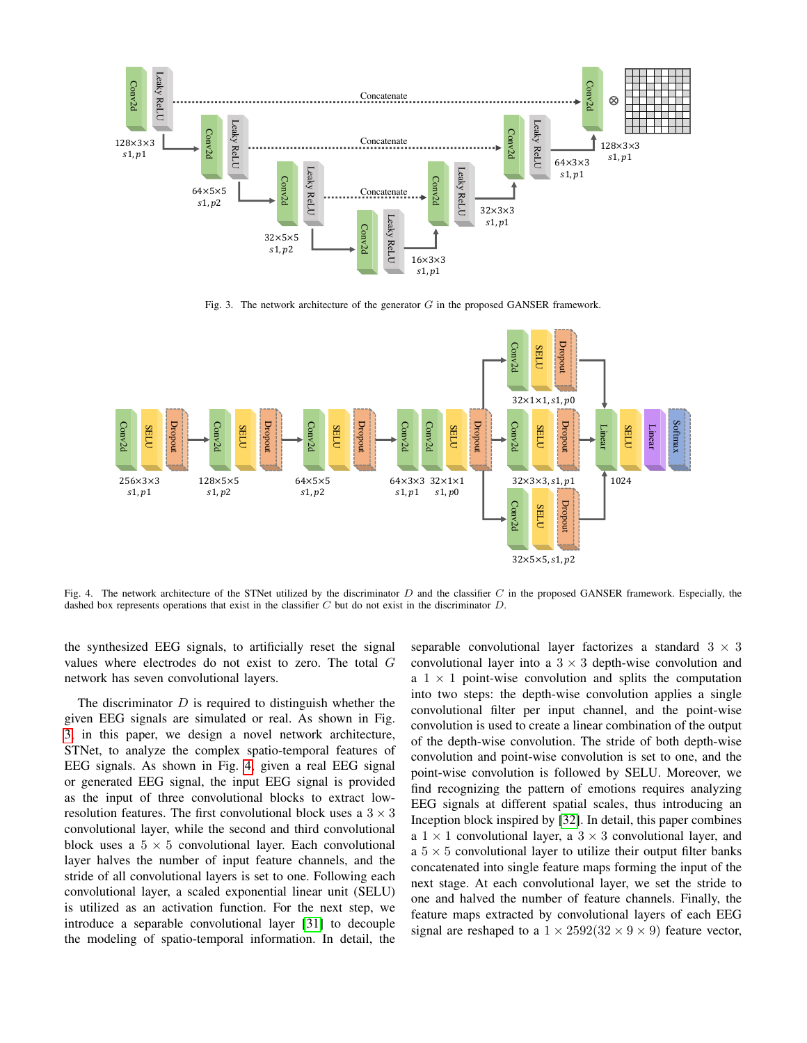

<span id="page-6-0"></span>Fig. 3. The network architecture of the generator  $G$  in the proposed GANSER framework.



<span id="page-6-1"></span>Fig. 4. The network architecture of the STNet utilized by the discriminator  $D$  and the classifier  $C$  in the proposed GANSER framework. Especially, the dashed box represents operations that exist in the classifier  $C$  but do not exist in the discriminator  $D$ .

the synthesized EEG signals, to artificially reset the signal values where electrodes do not exist to zero. The total G network has seven convolutional layers.

The discriminator  $D$  is required to distinguish whether the given EEG signals are simulated or real. As shown in Fig. [3,](#page-6-0) in this paper, we design a novel network architecture, STNet, to analyze the complex spatio-temporal features of EEG signals. As shown in Fig. [4,](#page-6-1) given a real EEG signal or generated EEG signal, the input EEG signal is provided as the input of three convolutional blocks to extract lowresolution features. The first convolutional block uses a  $3 \times 3$ convolutional layer, while the second and third convolutional block uses a  $5 \times 5$  convolutional layer. Each convolutional layer halves the number of input feature channels, and the stride of all convolutional layers is set to one. Following each convolutional layer, a scaled exponential linear unit (SELU) is utilized as an activation function. For the next step, we introduce a separable convolutional layer [\[31\]](#page-12-15) to decouple the modeling of spatio-temporal information. In detail, the separable convolutional layer factorizes a standard  $3 \times 3$ convolutional layer into a  $3 \times 3$  depth-wise convolution and a  $1 \times 1$  point-wise convolution and splits the computation into two steps: the depth-wise convolution applies a single convolutional filter per input channel, and the point-wise convolution is used to create a linear combination of the output of the depth-wise convolution. The stride of both depth-wise convolution and point-wise convolution is set to one, and the point-wise convolution is followed by SELU. Moreover, we find recognizing the pattern of emotions requires analyzing EEG signals at different spatial scales, thus introducing an Inception block inspired by [\[32\]](#page-12-16). In detail, this paper combines a  $1 \times 1$  convolutional layer, a  $3 \times 3$  convolutional layer, and a  $5 \times 5$  convolutional layer to utilize their output filter banks concatenated into single feature maps forming the input of the next stage. At each convolutional layer, we set the stride to one and halved the number of feature channels. Finally, the feature maps extracted by convolutional layers of each EEG signal are reshaped to a  $1 \times 2592(32 \times 9 \times 9)$  feature vector,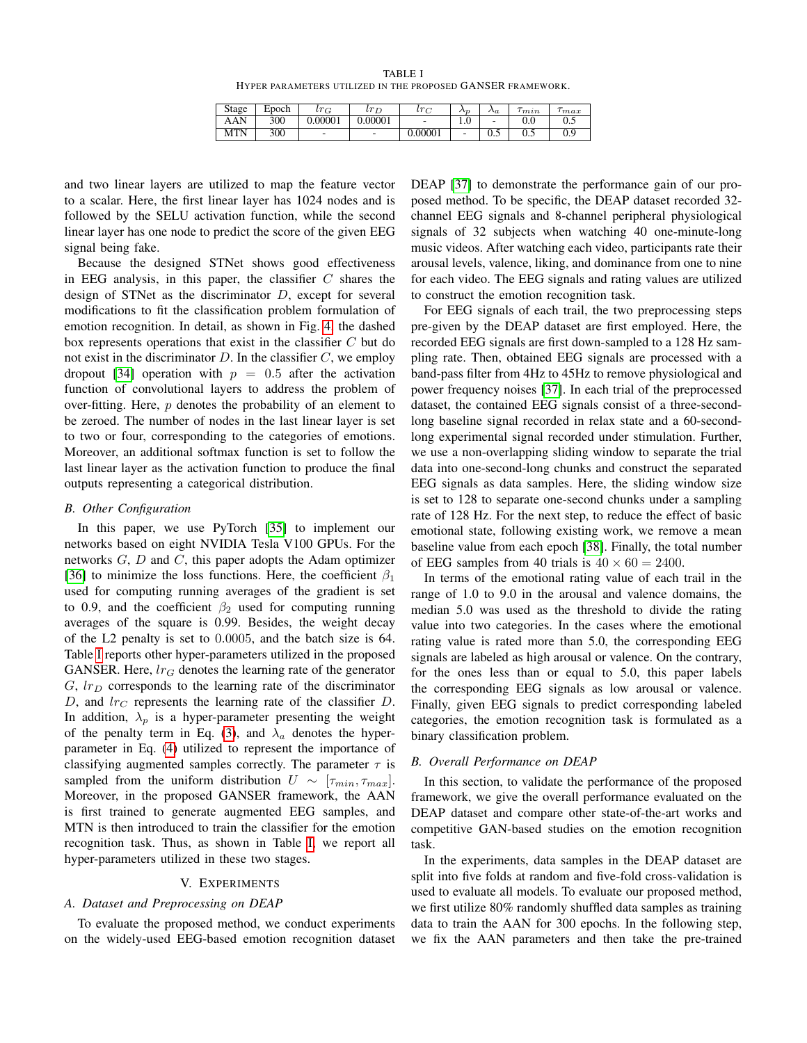TABLE I HYPER PARAMETERS UTILIZED IN THE PROPOSED GANSER FRAMEWORK.

| Stage      | Epoch | $lr_{\text{C}}$ | $l r_E$ | $l r \sim$ | $\mathcal{L}_{\mathcal{D}}$ | $\Lambda_a$ | m <sub>2</sub> n | $_{max}$        |
|------------|-------|-----------------|---------|------------|-----------------------------|-------------|------------------|-----------------|
| AAN        | 300   | 0.00001         | 0.00001 | -          | 1.V                         | -           | $_{\rm 0.0}$     | ∪.J             |
| <b>MTN</b> | 300   | -               | -       | 0.00001    | -                           | U.J         | ∪.J              | $\Omega$<br>U.> |

<span id="page-7-0"></span>and two linear layers are utilized to map the feature vector to a scalar. Here, the first linear layer has 1024 nodes and is followed by the SELU activation function, while the second linear layer has one node to predict the score of the given EEG signal being fake.

Because the designed STNet shows good effectiveness in EEG analysis, in this paper, the classifier  $C$  shares the design of STNet as the discriminator D, except for several modifications to fit the classification problem formulation of emotion recognition. In detail, as shown in Fig. [4,](#page-6-1) the dashed box represents operations that exist in the classifier C but do not exist in the discriminator  $D$ . In the classifier  $C$ , we employ dropout [\[34\]](#page-12-18) operation with  $p = 0.5$  after the activation function of convolutional layers to address the problem of over-fitting. Here,  $p$  denotes the probability of an element to be zeroed. The number of nodes in the last linear layer is set to two or four, corresponding to the categories of emotions. Moreover, an additional softmax function is set to follow the last linear layer as the activation function to produce the final outputs representing a categorical distribution.

## *B. Other Configuration*

In this paper, we use PyTorch [\[35\]](#page-12-19) to implement our networks based on eight NVIDIA Tesla V100 GPUs. For the networks  $G, D$  and  $C$ , this paper adopts the Adam optimizer [\[36\]](#page-12-20) to minimize the loss functions. Here, the coefficient  $\beta_1$ used for computing running averages of the gradient is set to 0.9, and the coefficient  $\beta_2$  used for computing running averages of the square is 0.99. Besides, the weight decay of the L2 penalty is set to 0.0005, and the batch size is 64. Table [I](#page-7-0) reports other hyper-parameters utilized in the proposed GANSER. Here,  $lr_G$  denotes the learning rate of the generator  $G, lr_D$  corresponds to the learning rate of the discriminator D, and  $lr_C$  represents the learning rate of the classifier D. In addition,  $\lambda_p$  is a hyper-parameter presenting the weight of the penalty term in Eq. [\(3\)](#page-3-1), and  $\lambda_a$  denotes the hyperparameter in Eq. [\(4\)](#page-5-0) utilized to represent the importance of classifying augmented samples correctly. The parameter  $\tau$  is sampled from the uniform distribution  $U \sim [\tau_{min}, \tau_{max}]$ . Moreover, in the proposed GANSER framework, the AAN is first trained to generate augmented EEG samples, and MTN is then introduced to train the classifier for the emotion recognition task. Thus, as shown in Table [I,](#page-7-0) we report all hyper-parameters utilized in these two stages.

# V. EXPERIMENTS

# *A. Dataset and Preprocessing on DEAP*

To evaluate the proposed method, we conduct experiments on the widely-used EEG-based emotion recognition dataset DEAP [\[37\]](#page-12-21) to demonstrate the performance gain of our proposed method. To be specific, the DEAP dataset recorded 32 channel EEG signals and 8-channel peripheral physiological signals of 32 subjects when watching 40 one-minute-long music videos. After watching each video, participants rate their arousal levels, valence, liking, and dominance from one to nine for each video. The EEG signals and rating values are utilized to construct the emotion recognition task.

For EEG signals of each trail, the two preprocessing steps pre-given by the DEAP dataset are first employed. Here, the recorded EEG signals are first down-sampled to a 128 Hz sampling rate. Then, obtained EEG signals are processed with a band-pass filter from 4Hz to 45Hz to remove physiological and power frequency noises [\[37\]](#page-12-21). In each trial of the preprocessed dataset, the contained EEG signals consist of a three-secondlong baseline signal recorded in relax state and a 60-secondlong experimental signal recorded under stimulation. Further, we use a non-overlapping sliding window to separate the trial data into one-second-long chunks and construct the separated EEG signals as data samples. Here, the sliding window size is set to 128 to separate one-second chunks under a sampling rate of 128 Hz. For the next step, to reduce the effect of basic emotional state, following existing work, we remove a mean baseline value from each epoch [\[38\]](#page-12-22). Finally, the total number of EEG samples from 40 trials is  $40 \times 60 = 2400$ .

In terms of the emotional rating value of each trail in the range of 1.0 to 9.0 in the arousal and valence domains, the median 5.0 was used as the threshold to divide the rating value into two categories. In the cases where the emotional rating value is rated more than 5.0, the corresponding EEG signals are labeled as high arousal or valence. On the contrary, for the ones less than or equal to 5.0, this paper labels the corresponding EEG signals as low arousal or valence. Finally, given EEG signals to predict corresponding labeled categories, the emotion recognition task is formulated as a binary classification problem.

# <span id="page-7-1"></span>*B. Overall Performance on DEAP*

In this section, to validate the performance of the proposed framework, we give the overall performance evaluated on the DEAP dataset and compare other state-of-the-art works and competitive GAN-based studies on the emotion recognition task.

In the experiments, data samples in the DEAP dataset are split into five folds at random and five-fold cross-validation is used to evaluate all models. To evaluate our proposed method, we first utilize 80% randomly shuffled data samples as training data to train the AAN for 300 epochs. In the following step, we fix the AAN parameters and then take the pre-trained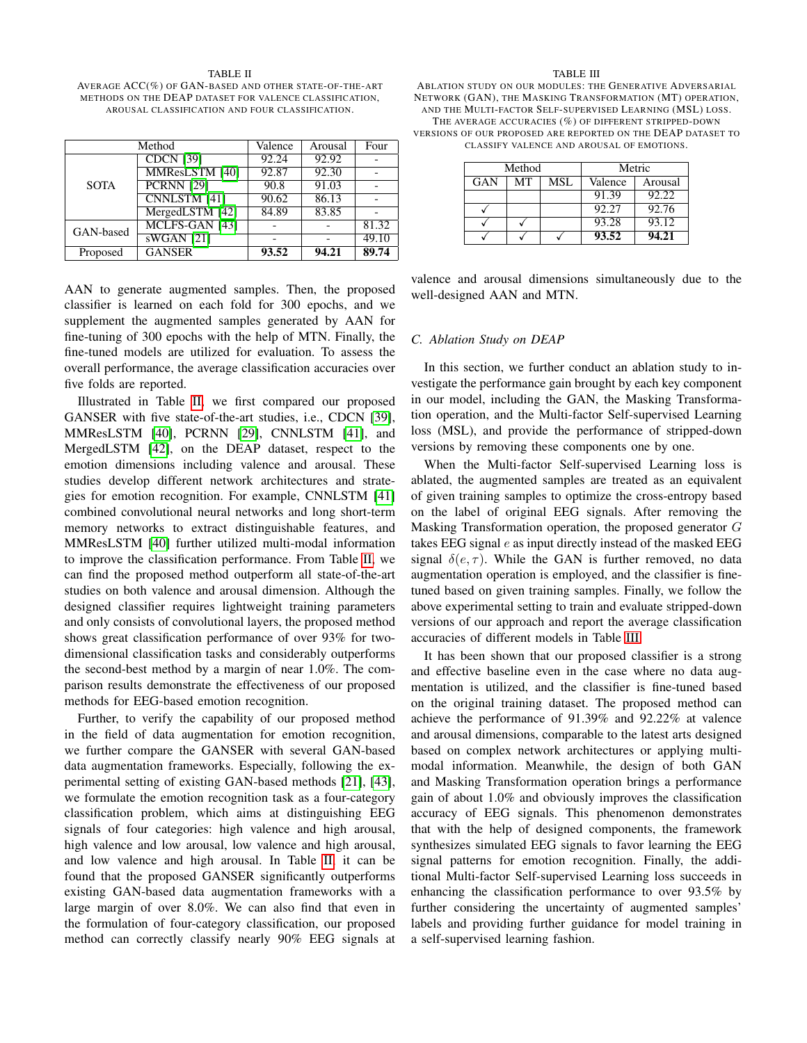#### <span id="page-8-0"></span>TABLE II AVERAGE ACC(%) OF GAN-BASED AND OTHER STATE-OF-THE-ART METHODS ON THE DEAP DATASET FOR VALENCE CLASSIFICATION, AROUSAL CLASSIFICATION AND FOUR CLASSIFICATION.

|             | Method              | Valence | Arousal | Four  |
|-------------|---------------------|---------|---------|-------|
|             | <b>CDCN [39]</b>    | 92.24   | 92.92   |       |
|             | MMResLSTM [40]      | 92.87   | 92.30   |       |
| <b>SOTA</b> | <b>PCRNN</b> [29]   | 90.8    | 91.03   |       |
|             | <b>CNNLSTM</b> [41] | 90.62   | 86.13   |       |
|             | MergedLSTM [42]     | 84.89   | 83.85   |       |
| GAN-based   | MCLFS-GAN [43]      |         |         | 81.32 |
|             | $sWGAN$ [21]        |         |         | 49.10 |
| Proposed    | <b>GANSER</b>       | 93.52   | 94.21   | 89.74 |

AAN to generate augmented samples. Then, the proposed classifier is learned on each fold for 300 epochs, and we supplement the augmented samples generated by AAN for fine-tuning of 300 epochs with the help of MTN. Finally, the fine-tuned models are utilized for evaluation. To assess the overall performance, the average classification accuracies over five folds are reported.

Illustrated in Table [II,](#page-8-0) we first compared our proposed GANSER with five state-of-the-art studies, i.e., CDCN [\[39\]](#page-12-23), MMResLSTM [\[40\]](#page-12-24), PCRNN [\[29\]](#page-12-13), CNNLSTM [\[41\]](#page-12-25), and MergedLSTM [\[42\]](#page-12-26), on the DEAP dataset, respect to the emotion dimensions including valence and arousal. These studies develop different network architectures and strategies for emotion recognition. For example, CNNLSTM [\[41\]](#page-12-25) combined convolutional neural networks and long short-term memory networks to extract distinguishable features, and MMResLSTM [\[40\]](#page-12-24) further utilized multi-modal information to improve the classification performance. From Table [II,](#page-8-0) we can find the proposed method outperform all state-of-the-art studies on both valence and arousal dimension. Although the designed classifier requires lightweight training parameters and only consists of convolutional layers, the proposed method shows great classification performance of over 93% for twodimensional classification tasks and considerably outperforms the second-best method by a margin of near 1.0%. The comparison results demonstrate the effectiveness of our proposed methods for EEG-based emotion recognition.

Further, to verify the capability of our proposed method in the field of data augmentation for emotion recognition, we further compare the GANSER with several GAN-based data augmentation frameworks. Especially, following the experimental setting of existing GAN-based methods [\[21\]](#page-12-8), [\[43\]](#page-12-27), we formulate the emotion recognition task as a four-category classification problem, which aims at distinguishing EEG signals of four categories: high valence and high arousal, high valence and low arousal, low valence and high arousal, and low valence and high arousal. In Table [II,](#page-8-0) it can be found that the proposed GANSER significantly outperforms existing GAN-based data augmentation frameworks with a large margin of over 8.0%. We can also find that even in the formulation of four-category classification, our proposed method can correctly classify nearly 90% EEG signals at

#### TABLE III

<span id="page-8-1"></span>ABLATION STUDY ON OUR MODULES: THE GENERATIVE ADVERSARIAL NETWORK (GAN), THE MASKING TRANSFORMATION (MT) OPERATION, AND THE MULTI-FACTOR SELF-SUPERVISED LEARNING (MSL) LOSS. THE AVERAGE ACCURACIES (%) OF DIFFERENT STRIPPED-DOWN VERSIONS OF OUR PROPOSED ARE REPORTED ON THE DEAP DATASET TO

CLASSIFY VALENCE AND AROUSAL OF EMOTIONS.

| Method |    |     | Metric  |         |  |
|--------|----|-----|---------|---------|--|
| GAN    | MТ | MSL | Valence | Arousal |  |
|        |    |     | 91.39   | 92.22   |  |
|        |    |     | 92.27   | 92.76   |  |
|        |    |     | 93.28   | 93.12   |  |
|        |    |     | 93.52   | 94.21   |  |

valence and arousal dimensions simultaneously due to the well-designed AAN and MTN.

#### *C. Ablation Study on DEAP*

In this section, we further conduct an ablation study to investigate the performance gain brought by each key component in our model, including the GAN, the Masking Transformation operation, and the Multi-factor Self-supervised Learning loss (MSL), and provide the performance of stripped-down versions by removing these components one by one.

When the Multi-factor Self-supervised Learning loss is ablated, the augmented samples are treated as an equivalent of given training samples to optimize the cross-entropy based on the label of original EEG signals. After removing the Masking Transformation operation, the proposed generator G takes EEG signal  $e$  as input directly instead of the masked EEG signal  $\delta(e, \tau)$ . While the GAN is further removed, no data augmentation operation is employed, and the classifier is finetuned based on given training samples. Finally, we follow the above experimental setting to train and evaluate stripped-down versions of our approach and report the average classification accuracies of different models in Table [III.](#page-8-1)

It has been shown that our proposed classifier is a strong and effective baseline even in the case where no data augmentation is utilized, and the classifier is fine-tuned based on the original training dataset. The proposed method can achieve the performance of 91.39% and 92.22% at valence and arousal dimensions, comparable to the latest arts designed based on complex network architectures or applying multimodal information. Meanwhile, the design of both GAN and Masking Transformation operation brings a performance gain of about 1.0% and obviously improves the classification accuracy of EEG signals. This phenomenon demonstrates that with the help of designed components, the framework synthesizes simulated EEG signals to favor learning the EEG signal patterns for emotion recognition. Finally, the additional Multi-factor Self-supervised Learning loss succeeds in enhancing the classification performance to over 93.5% by further considering the uncertainty of augmented samples' labels and providing further guidance for model training in a self-supervised learning fashion.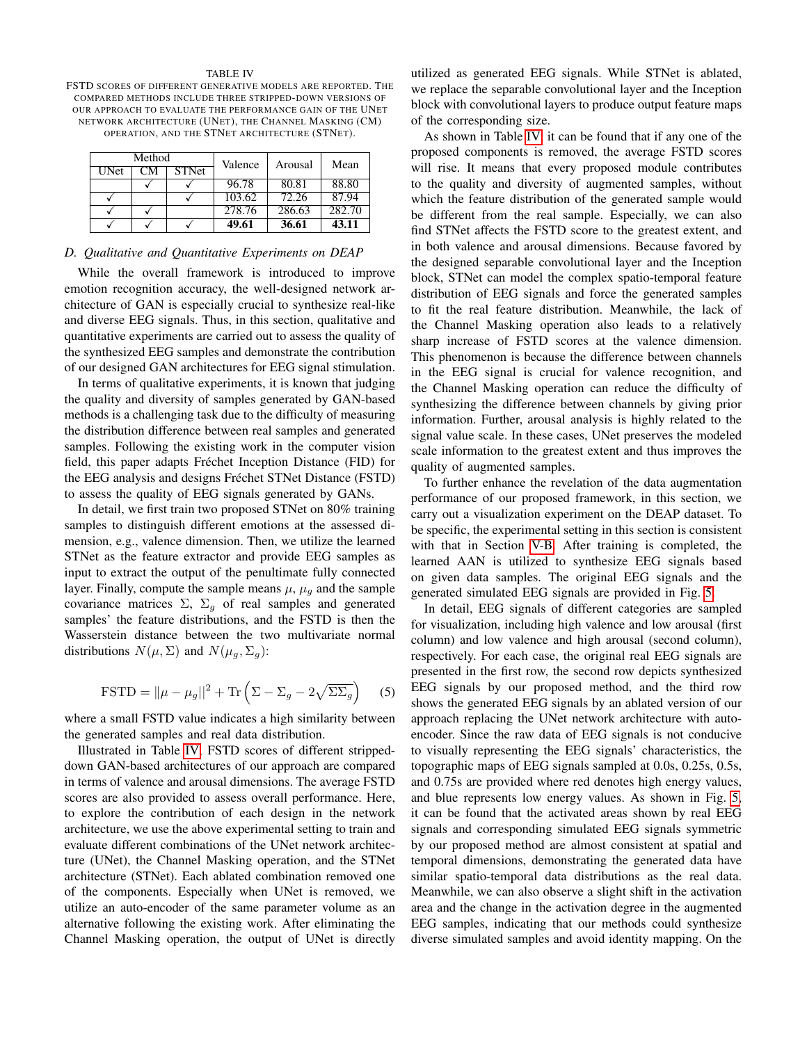#### TABLE IV

<span id="page-9-0"></span>FSTD SCORES OF DIFFERENT GENERATIVE MODELS ARE REPORTED. THE COMPARED METHODS INCLUDE THREE STRIPPED-DOWN VERSIONS OF OUR APPROACH TO EVALUATE THE PERFORMANCE GAIN OF THE UNET NETWORK ARCHITECTURE (UNET), THE CHANNEL MASKING (CM) OPERATION, AND THE STNET ARCHITECTURE (STNET).

| Method      |    | Valence      | Arousal | Mean   |        |
|-------------|----|--------------|---------|--------|--------|
| <b>UNet</b> | CМ | <b>STNet</b> |         |        |        |
|             |    |              | 96.78   | 80.81  | 88.80  |
|             |    |              | 103.62  | 72.26  | 87.94  |
|             |    |              | 278.76  | 286.63 | 282.70 |
|             |    |              | 49.61   | 36.61  | 43.11  |

# *D. Qualitative and Quantitative Experiments on DEAP*

While the overall framework is introduced to improve emotion recognition accuracy, the well-designed network architecture of GAN is especially crucial to synthesize real-like and diverse EEG signals. Thus, in this section, qualitative and quantitative experiments are carried out to assess the quality of the synthesized EEG samples and demonstrate the contribution of our designed GAN architectures for EEG signal stimulation.

In terms of qualitative experiments, it is known that judging the quality and diversity of samples generated by GAN-based methods is a challenging task due to the difficulty of measuring the distribution difference between real samples and generated samples. Following the existing work in the computer vision field, this paper adapts Fréchet Inception Distance (FID) for the EEG analysis and designs Fréchet STNet Distance (FSTD) to assess the quality of EEG signals generated by GANs.

In detail, we first train two proposed STNet on 80% training samples to distinguish different emotions at the assessed dimension, e.g., valence dimension. Then, we utilize the learned STNet as the feature extractor and provide EEG samples as input to extract the output of the penultimate fully connected layer. Finally, compute the sample means  $\mu$ ,  $\mu<sub>q</sub>$  and the sample covariance matrices  $\Sigma$ ,  $\Sigma_g$  of real samples and generated samples' the feature distributions, and the FSTD is then the Wasserstein distance between the two multivariate normal distributions  $N(\mu, \Sigma)$  and  $N(\mu_g, \Sigma_g)$ :

$$
\text{FSTD} = ||\mu - \mu_g||^2 + \text{Tr}\left(\Sigma - \Sigma_g - 2\sqrt{\Sigma\Sigma_g}\right) \quad (5)
$$

where a small FSTD value indicates a high similarity between the generated samples and real data distribution.

Illustrated in Table [IV,](#page-9-0) FSTD scores of different strippeddown GAN-based architectures of our approach are compared in terms of valence and arousal dimensions. The average FSTD scores are also provided to assess overall performance. Here, to explore the contribution of each design in the network architecture, we use the above experimental setting to train and evaluate different combinations of the UNet network architecture (UNet), the Channel Masking operation, and the STNet architecture (STNet). Each ablated combination removed one of the components. Especially when UNet is removed, we utilize an auto-encoder of the same parameter volume as an alternative following the existing work. After eliminating the Channel Masking operation, the output of UNet is directly utilized as generated EEG signals. While STNet is ablated, we replace the separable convolutional layer and the Inception block with convolutional layers to produce output feature maps of the corresponding size.

As shown in Table [IV,](#page-9-0) it can be found that if any one of the proposed components is removed, the average FSTD scores will rise. It means that every proposed module contributes to the quality and diversity of augmented samples, without which the feature distribution of the generated sample would be different from the real sample. Especially, we can also find STNet affects the FSTD score to the greatest extent, and in both valence and arousal dimensions. Because favored by the designed separable convolutional layer and the Inception block, STNet can model the complex spatio-temporal feature distribution of EEG signals and force the generated samples to fit the real feature distribution. Meanwhile, the lack of the Channel Masking operation also leads to a relatively sharp increase of FSTD scores at the valence dimension. This phenomenon is because the difference between channels in the EEG signal is crucial for valence recognition, and the Channel Masking operation can reduce the difficulty of synthesizing the difference between channels by giving prior information. Further, arousal analysis is highly related to the signal value scale. In these cases, UNet preserves the modeled scale information to the greatest extent and thus improves the quality of augmented samples.

To further enhance the revelation of the data augmentation performance of our proposed framework, in this section, we carry out a visualization experiment on the DEAP dataset. To be specific, the experimental setting in this section is consistent with that in Section [V-B.](#page-7-1) After training is completed, the learned AAN is utilized to synthesize EEG signals based on given data samples. The original EEG signals and the generated simulated EEG signals are provided in Fig. [5.](#page-10-0)

In detail, EEG signals of different categories are sampled for visualization, including high valence and low arousal (first column) and low valence and high arousal (second column), respectively. For each case, the original real EEG signals are presented in the first row, the second row depicts synthesized EEG signals by our proposed method, and the third row shows the generated EEG signals by an ablated version of our approach replacing the UNet network architecture with autoencoder. Since the raw data of EEG signals is not conducive to visually representing the EEG signals' characteristics, the topographic maps of EEG signals sampled at 0.0s, 0.25s, 0.5s, and 0.75s are provided where red denotes high energy values, and blue represents low energy values. As shown in Fig. [5,](#page-10-0) it can be found that the activated areas shown by real EEG signals and corresponding simulated EEG signals symmetric by our proposed method are almost consistent at spatial and temporal dimensions, demonstrating the generated data have similar spatio-temporal data distributions as the real data. Meanwhile, we can also observe a slight shift in the activation area and the change in the activation degree in the augmented EEG samples, indicating that our methods could synthesize diverse simulated samples and avoid identity mapping. On the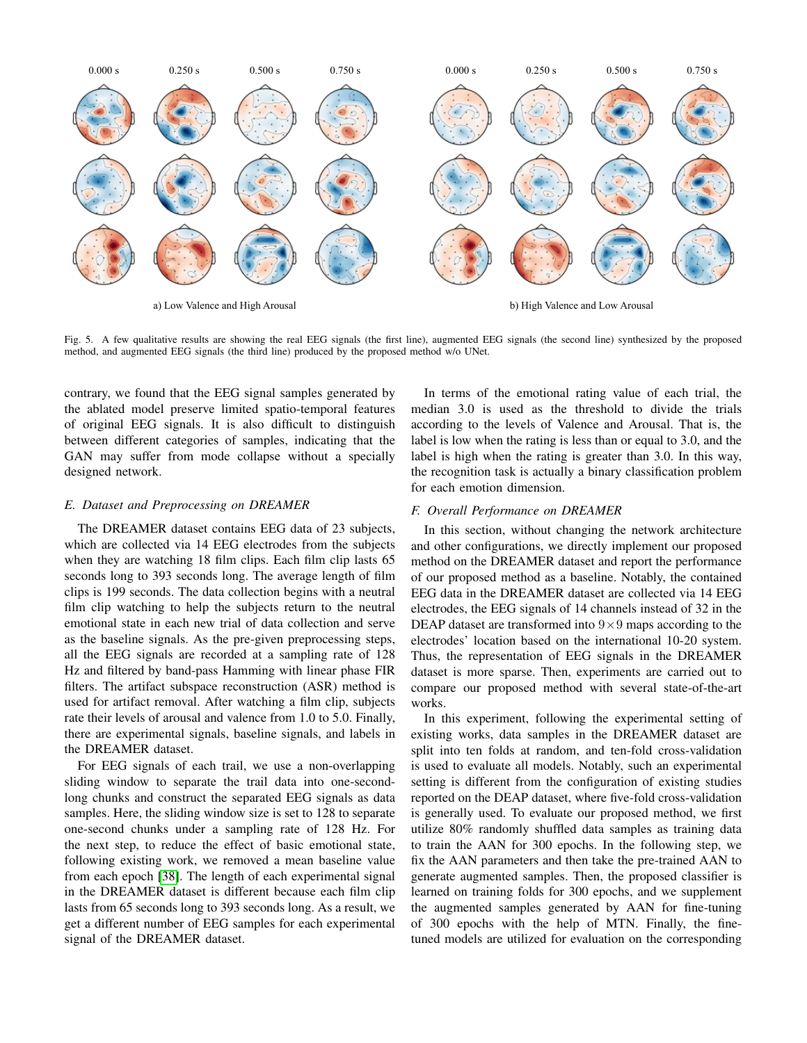

a) Low Valence and High Arousal b) High Valence and Low Arousal

<span id="page-10-0"></span>Fig. 5. A few qualitative results are showing the real EEG signals (the first line), augmented EEG signals (the second line) synthesized by the proposed method, and augmented EEG signals (the third line) produced by the proposed method w/o UNet.

contrary, we found that the EEG signal samples generated by the ablated model preserve limited spatio-temporal features of original EEG signals. It is also difficult to distinguish between different categories of samples, indicating that the GAN may suffer from mode collapse without a specially designed network.

# *E. Dataset and Preprocessing on DREAMER*

The DREAMER dataset contains EEG data of 23 subjects, which are collected via 14 EEG electrodes from the subjects when they are watching 18 film clips. Each film clip lasts 65 seconds long to 393 seconds long. The average length of film clips is 199 seconds. The data collection begins with a neutral film clip watching to help the subjects return to the neutral emotional state in each new trial of data collection and serve as the baseline signals. As the pre-given preprocessing steps, all the EEG signals are recorded at a sampling rate of 128 Hz and filtered by band-pass Hamming with linear phase FIR filters. The artifact subspace reconstruction (ASR) method is used for artifact removal. After watching a film clip, subjects rate their levels of arousal and valence from 1.0 to 5.0. Finally, there are experimental signals, baseline signals, and labels in the DREAMER dataset.

For EEG signals of each trail, we use a non-overlapping sliding window to separate the trail data into one-secondlong chunks and construct the separated EEG signals as data samples. Here, the sliding window size is set to 128 to separate one-second chunks under a sampling rate of 128 Hz. For the next step, to reduce the effect of basic emotional state, following existing work, we removed a mean baseline value from each epoch [\[38\]](#page-12-22). The length of each experimental signal in the DREAMER dataset is different because each film clip lasts from 65 seconds long to 393 seconds long. As a result, we get a different number of EEG samples for each experimental signal of the DREAMER dataset.

In terms of the emotional rating value of each trial, the median 3.0 is used as the threshold to divide the trials according to the levels of Valence and Arousal. That is, the label is low when the rating is less than or equal to 3.0, and the label is high when the rating is greater than 3.0. In this way, the recognition task is actually a binary classification problem for each emotion dimension.

#### *F. Overall Performance on DREAMER*

In this section, without changing the network architecture and other configurations, we directly implement our proposed method on the DREAMER dataset and report the performance of our proposed method as a baseline. Notably, the contained EEG data in the DREAMER dataset are collected via 14 EEG electrodes, the EEG signals of 14 channels instead of 32 in the DEAP dataset are transformed into  $9 \times 9$  maps according to the electrodes' location based on the international 10-20 system. Thus, the representation of EEG signals in the DREAMER dataset is more sparse. Then, experiments are carried out to compare our proposed method with several state-of-the-art works.

In this experiment, following the experimental setting of existing works, data samples in the DREAMER dataset are split into ten folds at random, and ten-fold cross-validation is used to evaluate all models. Notably, such an experimental setting is different from the configuration of existing studies reported on the DEAP dataset, where five-fold cross-validation is generally used. To evaluate our proposed method, we first utilize 80% randomly shuffled data samples as training data to train the AAN for 300 epochs. In the following step, we fix the AAN parameters and then take the pre-trained AAN to generate augmented samples. Then, the proposed classifier is learned on training folds for 300 epochs, and we supplement the augmented samples generated by AAN for fine-tuning of 300 epochs with the help of MTN. Finally, the finetuned models are utilized for evaluation on the corresponding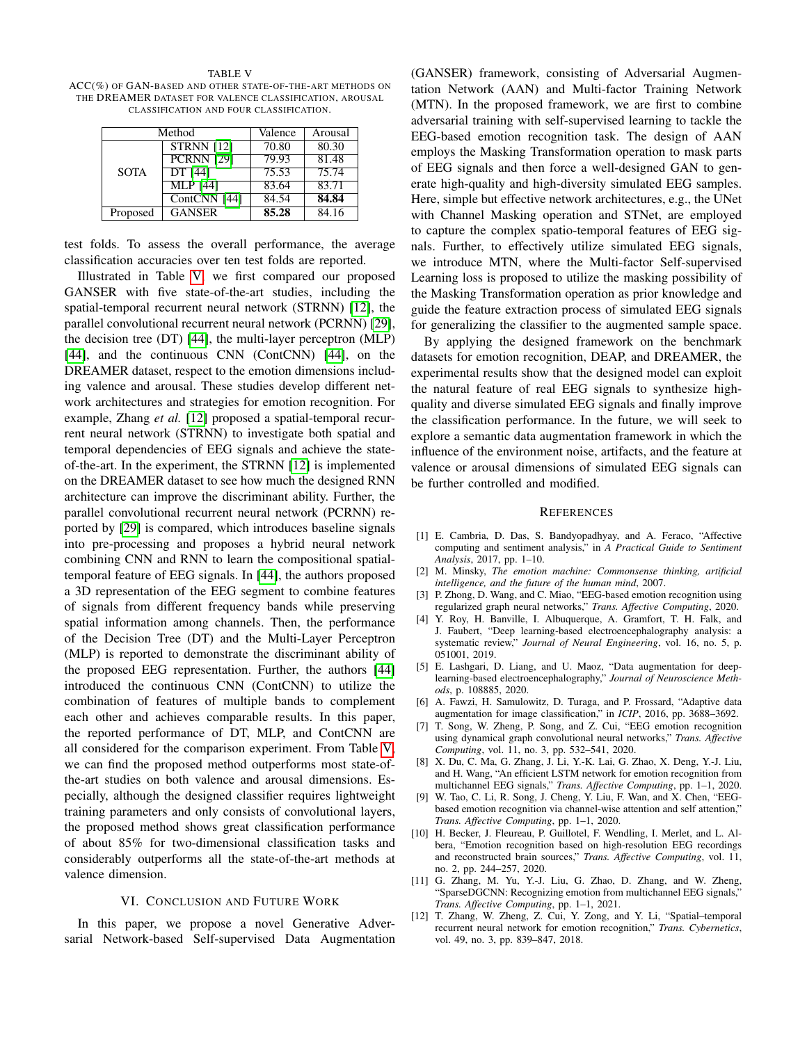<span id="page-11-9"></span>TABLE V ACC(%) OF GAN-BASED AND OTHER STATE-OF-THE-ART METHODS ON THE DREAMER DATASET FOR VALENCE CLASSIFICATION, AROUSAL CLASSIFICATION AND FOUR CLASSIFICATION.

|             | Method            | Valence | Arousal |
|-------------|-------------------|---------|---------|
|             | <b>STRNN</b> [12] | 70.80   | 80.30   |
| <b>SOTA</b> | <b>PCRNN</b> [29] | 79.93   | 81.48   |
|             | DT [44]           | 75.53   | 75.74   |
|             | $MLP$ [44]        | 83.64   | 83.71   |
|             | ContCNN [44]      | 84.54   | 84.84   |
| Proposed    | <b>GANSER</b>     | 85.28   | 84.16   |

test folds. To assess the overall performance, the average classification accuracies over ten test folds are reported.

Illustrated in Table [V,](#page-11-9) we first compared our proposed GANSER with five state-of-the-art studies, including the spatial-temporal recurrent neural network (STRNN) [\[12\]](#page-11-8), the parallel convolutional recurrent neural network (PCRNN) [\[29\]](#page-12-13), the decision tree (DT) [\[44\]](#page-12-28), the multi-layer perceptron (MLP) [\[44\]](#page-12-28), and the continuous CNN (ContCNN) [\[44\]](#page-12-28), on the DREAMER dataset, respect to the emotion dimensions including valence and arousal. These studies develop different network architectures and strategies for emotion recognition. For example, Zhang *et al.* [\[12\]](#page-11-8) proposed a spatial-temporal recurrent neural network (STRNN) to investigate both spatial and temporal dependencies of EEG signals and achieve the stateof-the-art. In the experiment, the STRNN [\[12\]](#page-11-8) is implemented on the DREAMER dataset to see how much the designed RNN architecture can improve the discriminant ability. Further, the parallel convolutional recurrent neural network (PCRNN) reported by [\[29\]](#page-12-13) is compared, which introduces baseline signals into pre-processing and proposes a hybrid neural network combining CNN and RNN to learn the compositional spatialtemporal feature of EEG signals. In [\[44\]](#page-12-28), the authors proposed a 3D representation of the EEG segment to combine features of signals from different frequency bands while preserving spatial information among channels. Then, the performance of the Decision Tree (DT) and the Multi-Layer Perceptron (MLP) is reported to demonstrate the discriminant ability of the proposed EEG representation. Further, the authors [\[44\]](#page-12-28) introduced the continuous CNN (ContCNN) to utilize the combination of features of multiple bands to complement each other and achieves comparable results. In this paper, the reported performance of DT, MLP, and ContCNN are all considered for the comparison experiment. From Table [V,](#page-11-9) we can find the proposed method outperforms most state-ofthe-art studies on both valence and arousal dimensions. Especially, although the designed classifier requires lightweight training parameters and only consists of convolutional layers, the proposed method shows great classification performance of about 85% for two-dimensional classification tasks and considerably outperforms all the state-of-the-art methods at valence dimension.

#### VI. CONCLUSION AND FUTURE WORK

In this paper, we propose a novel Generative Adversarial Network-based Self-supervised Data Augmentation

(GANSER) framework, consisting of Adversarial Augmentation Network (AAN) and Multi-factor Training Network (MTN). In the proposed framework, we are first to combine adversarial training with self-supervised learning to tackle the EEG-based emotion recognition task. The design of AAN employs the Masking Transformation operation to mask parts of EEG signals and then force a well-designed GAN to generate high-quality and high-diversity simulated EEG samples. Here, simple but effective network architectures, e.g., the UNet with Channel Masking operation and STNet, are employed to capture the complex spatio-temporal features of EEG signals. Further, to effectively utilize simulated EEG signals, we introduce MTN, where the Multi-factor Self-supervised Learning loss is proposed to utilize the masking possibility of the Masking Transformation operation as prior knowledge and guide the feature extraction process of simulated EEG signals for generalizing the classifier to the augmented sample space.

By applying the designed framework on the benchmark datasets for emotion recognition, DEAP, and DREAMER, the experimental results show that the designed model can exploit the natural feature of real EEG signals to synthesize highquality and diverse simulated EEG signals and finally improve the classification performance. In the future, we will seek to explore a semantic data augmentation framework in which the influence of the environment noise, artifacts, and the feature at valence or arousal dimensions of simulated EEG signals can be further controlled and modified.

#### **REFERENCES**

- <span id="page-11-0"></span>[1] E. Cambria, D. Das, S. Bandyopadhyay, and A. Feraco, "Affective computing and sentiment analysis," in *A Practical Guide to Sentiment Analysis*, 2017, pp. 1–10.
- <span id="page-11-1"></span>[2] M. Minsky, *The emotion machine: Commonsense thinking, artificial intelligence, and the future of the human mind*, 2007.
- <span id="page-11-2"></span>[3] P. Zhong, D. Wang, and C. Miao, "EEG-based emotion recognition using regularized graph neural networks," *Trans. Affective Computing*, 2020.
- <span id="page-11-3"></span>[4] Y. Roy, H. Banville, I. Albuquerque, A. Gramfort, T. H. Falk, and J. Faubert, "Deep learning-based electroencephalography analysis: a systematic review," *Journal of Neural Engineering*, vol. 16, no. 5, p. 051001, 2019.
- <span id="page-11-4"></span>[5] E. Lashgari, D. Liang, and U. Maoz, "Data augmentation for deeplearning-based electroencephalography," *Journal of Neuroscience Methods*, p. 108885, 2020.
- <span id="page-11-5"></span>[6] A. Fawzi, H. Samulowitz, D. Turaga, and P. Frossard, "Adaptive data augmentation for image classification," in *ICIP*, 2016, pp. 3688–3692.
- <span id="page-11-6"></span>[7] T. Song, W. Zheng, P. Song, and Z. Cui, "EEG emotion recognition using dynamical graph convolutional neural networks," *Trans. Affective Computing*, vol. 11, no. 3, pp. 532–541, 2020.
- [8] X. Du, C. Ma, G. Zhang, J. Li, Y.-K. Lai, G. Zhao, X. Deng, Y.-J. Liu, and H. Wang, "An efficient LSTM network for emotion recognition from multichannel EEG signals," *Trans. Affective Computing*, pp. 1–1, 2020.
- [9] W. Tao, C. Li, R. Song, J. Cheng, Y. Liu, F. Wan, and X. Chen, "EEGbased emotion recognition via channel-wise attention and self attention," *Trans. Affective Computing*, pp. 1–1, 2020.
- [10] H. Becker, J. Fleureau, P. Guillotel, F. Wendling, I. Merlet, and L. Albera, "Emotion recognition based on high-resolution EEG recordings and reconstructed brain sources," *Trans. Affective Computing*, vol. 11, no. 2, pp. 244–257, 2020.
- <span id="page-11-7"></span>[11] G. Zhang, M. Yu, Y.-J. Liu, G. Zhao, D. Zhang, and W. Zheng, "SparseDGCNN: Recognizing emotion from multichannel EEG signals," *Trans. Affective Computing*, pp. 1–1, 2021.
- <span id="page-11-8"></span>[12] T. Zhang, W. Zheng, Z. Cui, Y. Zong, and Y. Li, "Spatial–temporal recurrent neural network for emotion recognition," *Trans. Cybernetics*, vol. 49, no. 3, pp. 839–847, 2018.